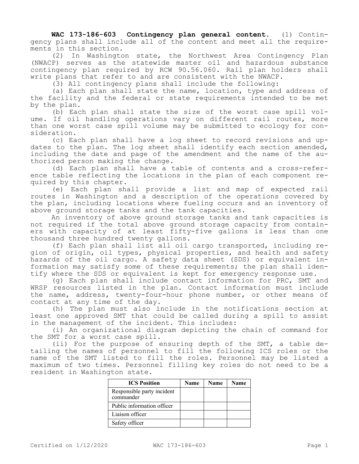**WAC 173-186-603 Contingency plan general content.** (1) Contingency plans shall include all of the content and meet all the requirements in this section.

(2) In Washington state, the Northwest Area Contingency Plan (NWACP) serves as the statewide master oil and hazardous substance contingency plan required by RCW 90.56.060. Rail plan holders shall write plans that refer to and are consistent with the NWACP.

(3) All contingency plans shall include the following:

(a) Each plan shall state the name, location, type and address of the facility and the federal or state requirements intended to be met by the plan.

(b) Each plan shall state the size of the worst case spill volume. If oil handling operations vary on different rail routes, more than one worst case spill volume may be submitted to ecology for consideration.

(c) Each plan shall have a log sheet to record revisions and updates to the plan. The log sheet shall identify each section amended, including the date and page of the amendment and the name of the authorized person making the change.

(d) Each plan shall have a table of contents and a cross-reference table reflecting the locations in the plan of each component required by this chapter.

(e) Each plan shall provide a list and map of expected rail routes in Washington and a description of the operations covered by the plan, including locations where fueling occurs and an inventory of above ground storage tanks and the tank capacities.

An inventory of above ground storage tanks and tank capacities is not required if the total above ground storage capacity from containers with capacity of at least fifty-five gallons is less than one thousand three hundred twenty gallons.

(f) Each plan shall list all oil cargo transported, including region of origin, oil types, physical properties, and health and safety hazards of the oil cargo. A safety data sheet (SDS) or equivalent information may satisfy some of these requirements; the plan shall identify where the SDS or equivalent is kept for emergency response use.

(g) Each plan shall include contact information for PRC, SMT and WRSP resources listed in the plan. Contact information must include the name, address, twenty-four-hour phone number, or other means of contact at any time of the day.

(h) The plan must also include in the notifications section at least one approved SMT that could be called during a spill to assist in the management of the incident. This includes:

(i) An organizational diagram depicting the chain of command for the SMT for a worst case spill.

(ii) For the purpose of ensuring depth of the SMT, a table detailing the names of personnel to fill the following ICS roles or the name of the SMT listed to fill the roles. Personnel may be listed a maximum of two times. Personnel filling key roles do not need to be a resident in Washington state.

| <b>ICS Position</b>                     | Name | <b>Name</b> | <b>Name</b> |
|-----------------------------------------|------|-------------|-------------|
| Responsible party incident<br>commander |      |             |             |
| Public information officer              |      |             |             |
| Liaison officer                         |      |             |             |
| Safety officer                          |      |             |             |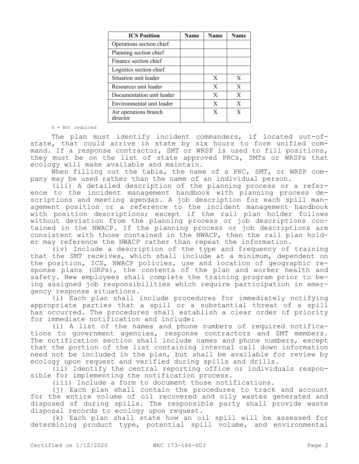| <b>ICS Position</b>               | <b>Name</b> | <b>Name</b> | <b>Name</b> |
|-----------------------------------|-------------|-------------|-------------|
| Operations section chief          |             |             |             |
| Planning section chief            |             |             |             |
| Finance section chief             |             |             |             |
| Logistics section chief           |             |             |             |
| Situation unit leader             |             | X           | X           |
| Resources unit leader             |             | X           | X           |
| Documentation unit leader         |             | X           | X           |
| Environmental unit leader         |             | X           | X           |
| Air operations branch<br>director |             | X           | X           |

X = Not required

The plan must identify incident commanders, if located out-ofstate, that could arrive in state by six hours to form unified command. If a response contractor, SMT or WRSP is used to fill positions, they must be on the list of state approved PRCs, SMTs or WRSPs that ecology will make available and maintain.

When filling out the table, the name of a PRC, SMT, or WRSP company may be used rather than the name of an individual person.

(iii) A detailed description of the planning process or a reference to the incident management handbook with planning process descriptions and meeting agendas. A job description for each spill management position or a reference to the incident management handbook with position descriptions; except if the rail plan holder follows without deviation from the planning process or job descriptions contained in the NWACP. If the planning process or job descriptions are consistent with those contained in the NWACP, then the rail plan holder may reference the NWACP rather than repeat the information.

(iv) Include a description of the type and frequency of training that the SMT receives, which shall include at a minimum, dependent on the position, ICS, NWACP policies, use and location of geographic response plans (GRPs), the contents of the plan and worker health and safety. New employees shall complete the training program prior to being assigned job responsibilities which require participation in emergency response situations.

(i) Each plan shall include procedures for immediately notifying appropriate parties that a spill or a substantial threat of a spill has occurred. The procedures shall establish a clear order of priority for immediate notification and include:

(i) A list of the names and phone numbers of required notifications to government agencies, response contractors and SMT members. The notification section shall include names and phone numbers, except that the portion of the list containing internal call down information need not be included in the plan, but shall be available for review by ecology upon request and verified during spills and drills.

(ii) Identify the central reporting office or individuals responsible for implementing the notification process.

(iii) Include a form to document those notifications.

(j) Each plan shall contain the procedures to track and account for the entire volume of oil recovered and oily wastes generated and disposed of during spills. The responsible party shall provide waste disposal records to ecology upon request.

(k) Each plan shall state how an oil spill will be assessed for determining product type, potential spill volume, and environmental